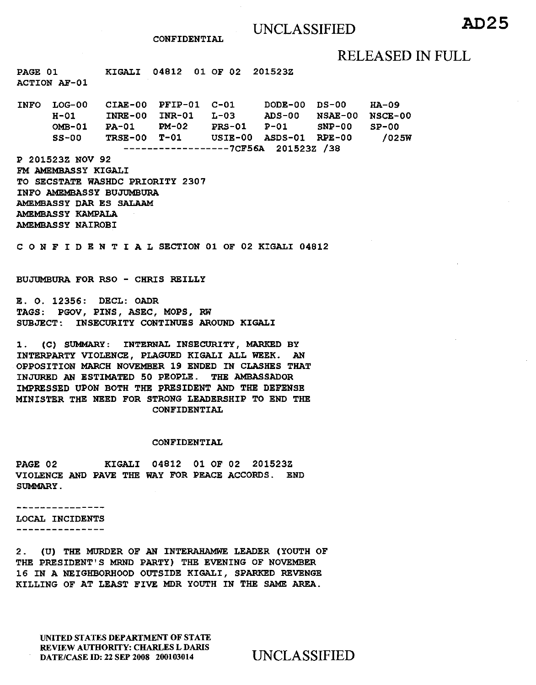# UNCLASSIFIED **AD25**

CONFIDENTIAL

## RELEASED IN FULL

PAGE 01 ACTION AF-01 KIGALI 04812 01 OF 02 201523Z

INFO LOG-00 H-01 OMB-01 PA-01 PM-02 PRS-01 P-Ol SNP-00 SS-00 CIAE-00 INRE-00 TRSE-00 T-01 PFIP-01 INR-01 C-Ol DODE-00 L-03 ADS-00 USIE-00 ASDS-01 RPE-00 ------------------7CF56A 201523Z /38 DS-00 NSAE-00 HA-09 NSCE-00  $SP-00$ /025W

P 201523Z NOV 92 FM AMEMBASSY KIGALI TO SECSTATE WASHDC PRIORITY 2307 INFO AMEMBASSY BUJUMBURA AMEMBASSY DAR ES SALAAM AMEMBASSY KAMPALA AMEMBASSY NAIROBI

C 0 N F I D E N T I A L SECTION 01 OF 02 KIGALI 04812

BUJUMBURA FOR RSO - CHRIS REILLY

E. 0. 12356: DECL: OADR TAGS: PGOV, PINS, ASEC, MOPS, RW SUBJECT: INSECURITY CONTINUES AROUND KIGALI

1. (C) SUMMARY: INTERNAL INSECURITY, MARKED BY INTERPARTY VIOLENCE, PLAGUED KIGALI ALL WEEK. AN OPPOSITION MARCH NOVEMBER 19 ENDED IN CLASHES THAT INJURED AN ESTIMATED 50 PEOPLE. THE AMBASSADOR IMPRESSED UPON BOTH THE PRESIDENT AND THE DEFENSE MINISTER THE NEED FOR STRONG LEADERSHIP TO END THE CONFIDENTIAL

### CONFIDENTIAL

PAGE 02 KIGALI 04812 01 OF 02 201523Z VIOLENCE AND PAVE THE WAY FOR PEACE ACCORDS. END SUMMARY.

---------------

LOCAL INCIDENTS ----------------

2. (U) THE MURDER OF AN INTERAHAMWE LEADER (YOUTH OF THE PRESIDENT'S MRND PARTY) THE EVENING OF NOVEMBER 16 IN A NEIGHBORHOOD OUTSIDE KIGALI, SPARKED REVENGE KILLING OF AT LEAST FIVE MDR YOUTH IN THE SAME AREA.

UNITED STATES DEPARTMENT OF STATE REVIEW AUTHORITY: CHARLES L DARIS DATE/CASE ID: 22 SEP 2008 200103014 UNCLASSIFIED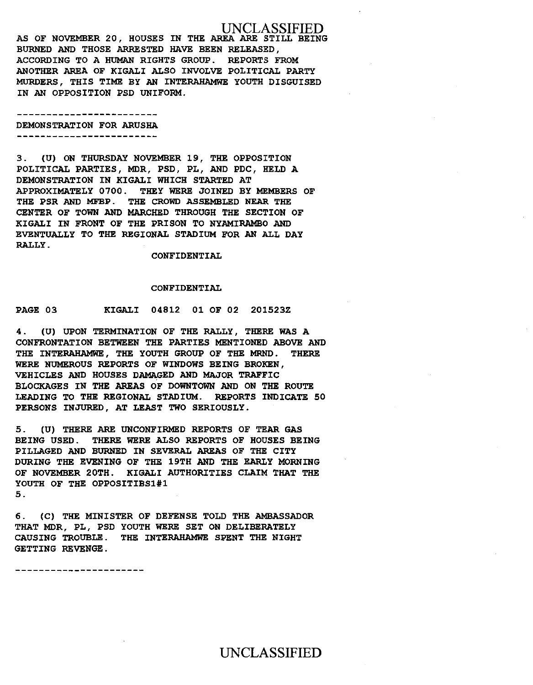UNCLASSIFIED AS OF NOVEMBER 20, HOUSES IN THE AREA ARE STILL BEING BURNED AND THOSE ARRESTED HAVE BEEN RELEASED, ACCORDING TO A HUMAN RIGHTS GROUP. REPORTS FROM ANOTHER AREA OF KIGALI ALSO INVOLVE POLITICAL PARTY MURDERS, THIS TIME BY AN INTERAHAMWE YOUTH DISGUISED IN AN OPPOSITION PSD UNIFORM.

------------------------DEMONSTRATION FOR ARUSHA -------------------------

3. (U) ON THURSDAY NOVEMBER 19, THE OPPOSITION POLITICAL PARTIES, MDR, PSD, PL, AND PDC, HELD A DEMONSTRATION IN KIGALI WHICH STARTED AT APPROXIMATELY 0700. THEY WERE JOINED BY MEMBERS OF THE PSR AND MFBP. THE CROWD ASSEMBLED NEAR THE CENTER OF TOWN AND MARCHED THROUGH THE SECTION OF KIGALI IN FRONT OF THE PRISON TO NYAMIRAMBO AND EVENTUALLY TO THE REGIONAL STADIUM FOR AN ALL DAY RALLY.

CONFIDENTIAL

### CONFIDENTIAL

PAGE 03 KIGALI 04812 01 OF 02 201523Z

4. (U) UPON TERMINATION OF THE RALLY, THERE WAS A CONFRONTATION BETWEEN THE PARTIES MENTIONED ABOVE AND THE INTERAHAMWE, THE YOUTH GROUP OF THE MRND. THERE WERE NUMEROUS REPORTS OF WINDOWS BEING BROKEN, VEHICLES AND HOUSES DAMAGED AND MAJOR TRAFFIC BLOCKAGES IN THE AREAS OF DOWNTOWN AND ON THE ROUTE LEADING TO THE REGIONAL STADIUM. REPORTS INDICATE 50 PERSONS INJURED, AT LEAST TWO SERIOUSLY.

5. (U) THERE ARE UNCONFIRMED REPORTS OF TEAR GAS BEING USED. THERE WERE ALSO REPORTS OF HOUSES BEING PILLAGED AND BURNED IN SEVERAL AREAS OF THE CITY DURING THE EVENING OF THE 19TH AND THE EARLY MORNING OF NOVEMBER 20TH. KIGALI AUTHORITIES CLAIM THAT THE YOUTH OF THE OPPOSITIBSl#l 5.

6. (C) THE MINISTER OF DEFENSE TOLD THE AMBASSADOR THAT MDR, PL, PSD YOUTH WERE SET ON DELIBERATELY CAUSING TROUBLE. THE INTERAHAMWE SPENT THE NIGHT GETTING REVENGE.

----------------------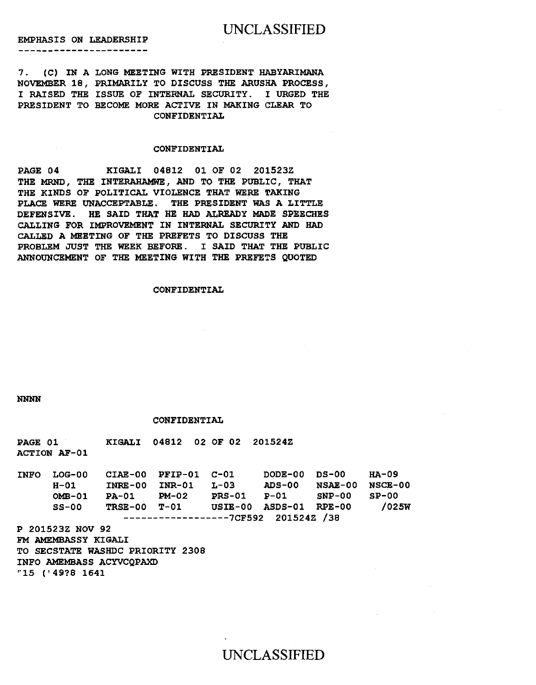## UNCLASSIFIED

EMPHASIS ON LEADERSHIP

\_\_\_\_\_\_\_\_\_\_\_\_\_\_\_\_\_\_\_\_\_\_

7. (C) IN A LONG MEETING WITH PRESIDENT HABYARIMANA NOVEMBER 18, PRIMARILY TO DISCUSS THE ARUSHA PROCESS, I RAISED THE ISSUE OF INTERNAL SECURITY. I URGED THE PRESIDENT TO BECOME MORE ACTIVE IN MAKING CLEAR TO CONFIDENTIAL

### CONFIDENTIAL

PAGE 04 KIGALI 04812 01 OF 02 201523Z THE MRND, THE INTERAHAMWE, AND TO THE PUBLIC, THAT THE KINDS OF POLITICAL VIOLENCE THAT WERE TAKING PLACE WERE UNACCEPTABLE. THE PRESIDENT WAS A LITTLE DEFENSIVE. HE SAID THAT HE HAD ALREADY MADE SPEECHES CALLING FOR IMPROVEMENT IN INTERNAL SECURITY AND HAD CALLED A MEETING OF THE PREFETS TO DISCUSS THE PROBLEM JUST THE WEEK BEFORE. I SAID THAT THE PUBLIC ANNOUNCEMENT OF THE MEETING WITH THE PREFETS QUOTED

### CONFIDENTIAL

NNNN

#### CONFIDENTIAL

PAGE 01 KIGALI 04812 02 OF 02 201524Z ACTION AF-01

| <b>INFO</b> | LOG-00                              | CIAE-00 PFIP-01 C-01 |                     |  | DODE-00 DS-00            |                        | на-09 |
|-------------|-------------------------------------|----------------------|---------------------|--|--------------------------|------------------------|-------|
|             | H-01                                |                      | INRE-00 INR-01 L-03 |  |                          | ADS-00 NSAE-00 NSCE-00 |       |
|             | $OMB-01$                            | PA-01 PM-02          |                     |  | PRS-01 P-01 SNP-00 SP-00 |                        |       |
|             | $SS-00$                             |                      | TRSE-00 T-01        |  | USIE-00 ASDS-01 RPE-00   |                        | /025W |
|             | $---------------7CF592 201524Z /38$ |                      |                     |  |                          |                        |       |

P 201523Z NOV 92 FM AMEMBASSY KIGALI TO SECSTATE WASHDC PRIORITY 2308 INFO AMEMBASS ACYVCQPAXD "15 (' 49?8 1641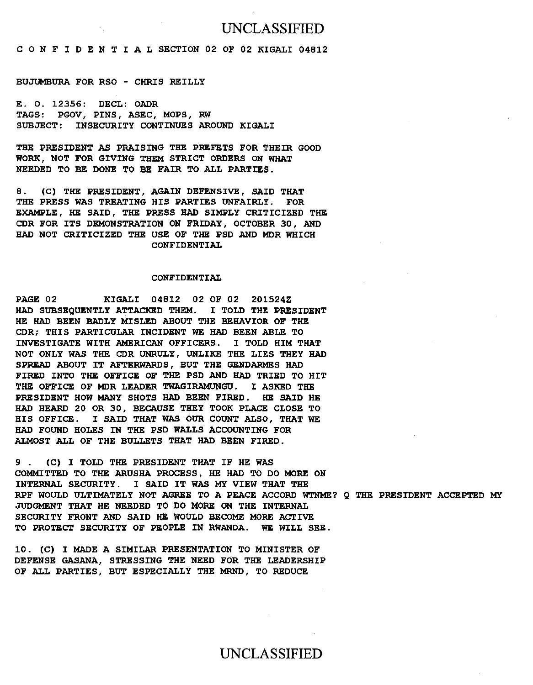## UNCLASSIFIED

C 0 N F I D E N T I A L SECTION 02 OF 02 KIGALI 04812

### BUJUMBURA FOR RSO - CHRIS REILLY

E. 0. 12356: DECL: OADR TAGS: PGOV, PINS, ASEC, MOPS, RW SUBJECT: INSECURITY CONTINUES AROUND KIGALI

THE PRESIDENT AS PRAISING THE PREFETS FOR THEIR GOOD WORK, NOT FOR GIVING THEM STRICT ORDERS ON WHAT NEEDED TO BE DONE TO BE FAIR TO ALL PARTIES.

8. (C) THE PRESIDENT, AGAIN DEFENSIVE, SAID THAT THE PRESS WAS TREATING HIS PARTIES UNFAIRLY. FOR EXAMPLE, HE SAID, THE PRESS HAD SIMPLY CRITICIZED THE CDR FOR ITS DEMONSTRATION ON FRIDAY, OCTOBER 30, AND HAD NOT CRITICIZED THE USE OF THE PSD AND MDR WHICH CONFIDENTIAL

### CONFIDENTIAL

PAGE 02 KIGALI 04812 02 OF 02 201524Z HAD SUBSEQUENTLY ATTACKED THEM. I TOLD THE PRESIDENT HE HAD BEEN BADLY MISLED ABOUT THE BEHAVIOR OF THE CDR; THIS PARTICULAR INCIDENT WE HAD BEEN ABLE TO INVESTIGATE WITH AMERICAN OFFICERS. I TOLD HIM THAT NOT ONLY WAS THE CDR UNRULY, UNLIKE THE LIES THEY HAD SPREAD ABOUT IT AFTERWARDS, BUT THE GENDARMES HAD FIRED INTO THE OFFICE OF THE PSD AND HAD TRIED TO HIT THE OFFICE OF MDR LEADER TWAGIRAMUNGU. I ASKED THE PRESIDENT HOW MANY SHOTS HAD BEEN FIRED. HE SAID HE HAD HEARD 20 OR 30, BECAUSE THEY TOOK PLACE CLOSE TO HIS OFFICE. I SAID THAT WAS OUR COUNT ALSO, THAT WE HAD FOUND HOLES IN THE PSD WALLS ACCOUNTING FOR ALMOST ALL OF THE BULLETS THAT HAD BEEN FIRED.

9 . (C) I TOLD THE PRESIDENT THAT IF HE WAS COMMITTED TO THE ARUSHA PROCESS, HE HAD TO DO MORE ON INTERNAL SECURITY. I SAID IT WAS MY VIEW THAT THE RPF WOULD ULTIMATELY NOT AGREE TO A PEACE ACCORD WTNME? Q THE PRESIDENT ACCEPTED MY JUDGMENT THAT HE NEEDED TO DO MORE ON THE INTERNAL SECURITY FRONT AND SAID HE WOULD BECOME MORE ACTIVE TO PROTECT SECURITY OF PEOPLE IN RWANDA. WE WILL SEE.

10. (C) I MADE A SIMILAR PRESENTATION TO MINISTER OF DEFENSE GASANA, STRESSING THE NEED FOR THE LEADERSHIP OF ALL PARTIES, BUT ESPECIALLY THE MRND, TO REDUCE